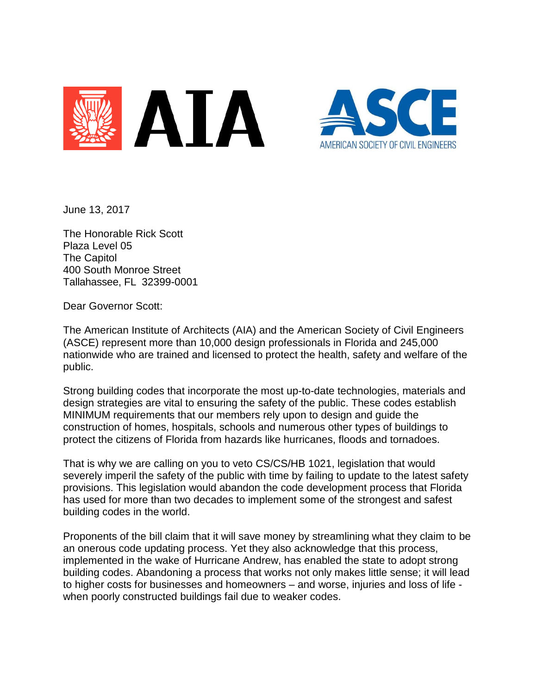



June 13, 2017

The Honorable Rick Scott Plaza Level 05 The Capitol 400 South Monroe Street Tallahassee, FL 32399-0001

Dear Governor Scott:

The American Institute of Architects (AIA) and the American Society of Civil Engineers (ASCE) represent more than 10,000 design professionals in Florida and 245,000 nationwide who are trained and licensed to protect the health, safety and welfare of the public.

Strong building codes that incorporate the most up-to-date technologies, materials and design strategies are vital to ensuring the safety of the public. These codes establish MINIMUM requirements that our members rely upon to design and guide the construction of homes, hospitals, schools and numerous other types of buildings to protect the citizens of Florida from hazards like hurricanes, floods and tornadoes.

That is why we are calling on you to veto CS/CS/HB 1021, legislation that would severely imperil the safety of the public with time by failing to update to the latest safety provisions. This legislation would abandon the code development process that Florida has used for more than two decades to implement some of the strongest and safest building codes in the world.

Proponents of the bill claim that it will save money by streamlining what they claim to be an onerous code updating process. Yet they also acknowledge that this process, implemented in the wake of Hurricane Andrew, has enabled the state to adopt strong building codes. Abandoning a process that works not only makes little sense; it will lead to higher costs for businesses and homeowners – and worse, injuries and loss of life when poorly constructed buildings fail due to weaker codes.